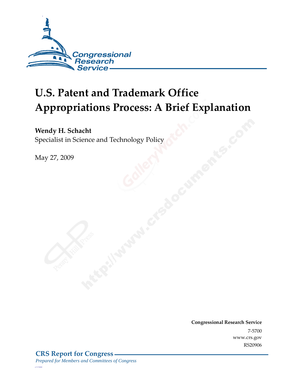

# **U.S. Patent and Trademark Office Appropriations Process: A Brief Explanation**

#### **Wendy H. Schacht**

Specialist in Science and Technology Policy

May 27, 2009

**Congressional Research Service** 7-5700 www.crs.gov RS20906

*c11173008*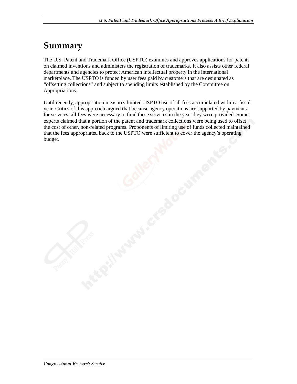# **Summary**

.

The U.S. Patent and Trademark Office (USPTO) examines and approves applications for patents on claimed inventions and administers the registration of trademarks. It also assists other federal departments and agencies to protect American intellectual property in the international marketplace. The USPTO is funded by user fees paid by customers that are designated as "offsetting collections" and subject to spending limits established by the Committee on Appropriations.

Until recently, appropriation measures limited USPTO use of all fees accumulated within a fiscal year. Critics of this approach argued that because agency operations are supported by payments for services, all fees were necessary to fund these services in the year they were provided. Some experts claimed that a portion of the patent and trademark collections were being used to offset the cost of other, non-related programs. Proponents of limiting use of funds collected maintained that the fees appropriated back to the USPTO were sufficient to cover the agency's operating budget.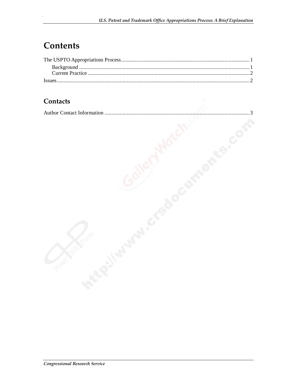# **Contents**

#### **Contacts**

|--|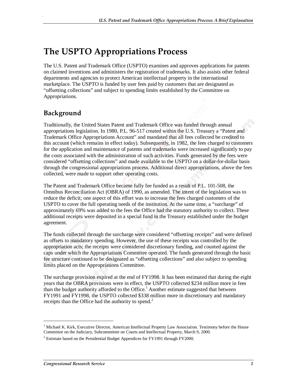# **The USPTO Appropriations Process**

The U.S. Patent and Trademark Office (USPTO) examines and approves applications for patents on claimed inventions and administers the registration of trademarks. It also assists other federal departments and agencies to protect American intellectual property in the international marketplace. The USPTO is funded by user fees paid by customers that are designated as "offsetting collections" and subject to spending limits established by the Committee on Appropriations.

### **Background**

.

Traditionally, the United States Patent and Trademark Office was funded through annual appropriations legislation. In 1980, P.L. 96-517 created within the U.S. Treasury a "Patent and Trademark Office Appropriations Account" and mandated that all fees collected be credited to this account (which remains in effect today). Subsequently, in 1982, the fees charged to customers for the application and maintenance of patents and trademarks were increased significantly to pay the costs associated with the administration of such activities. Funds generated by the fees were considered "offsetting collections" and made available to the USPTO on a dollar-for-dollar basis through the congressional appropriations process. Additional direct appropriations, above the fees collected, were made to support other operating costs.

The Patent and Trademark Office became fully fee funded as a result of P.L. 101-508, the Omnibus Reconciliation Act (OBRA) of 1990, as amended. The intent of the legislation was to reduce the deficit; one aspect of this effort was to increase the fees charged customers of the USPTO to cover the full operating needs of the institution. At the same time, a "surcharge" of approximately 69% was added to the fees the Office had the statutory authority to collect. These additional receipts were deposited in a special fund in the Treasury established under the budget agreement.

The funds collected through the surcharge were considered "offsetting receipts" and were defined as offsets to mandatory spending. However, the use of these receipts was controlled by the appropriation acts; the receipts were considered discretionary funding, and counted against the caps under which the Appropriations Committee operated. The funds generated through the basic fee structure continued to be designated as "offsetting collections" and also subject to spending limits placed on the Appropriations Committee.

The surcharge provision expired at the end of FY1998. It has been estimated that during the eight years that the OBRA provisions were in effect, the USPTO collected \$234 million more in fees than the budget authority afforded to the Office.<sup>1</sup> Another estimate suggested that between FY1991 and FY1998, the USPTO collected \$338 million more in discretionary and mandatory receipts than the Office had the authority to spend. $<sup>2</sup>$ </sup>

1

<sup>&</sup>lt;sup>1</sup> Michael K. Kirk, Executive Director, American Intellectual Property Law Association. Testimony before the House Committee on the Judiciary, Subcommittee on Courts and Intellectual Property, March 9, 2000.

 $2$  Estimate based on the Presidential Budget Appendices for FY1991 through FY2000.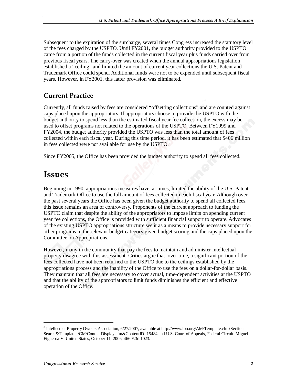Subsequent to the expiration of the surcharge, several times Congress increased the statutory level of the fees charged by the USPTO. Until FY2001, the budget authority provided to the USPTO came from a portion of the funds collected in the current fiscal year plus funds carried over from previous fiscal years. The carry-over was created when the annual appropriations legislation established a "ceiling" and limited the amount of current year collections the U.S. Patent and Trademark Office could spend. Additional funds were not to be expended until subsequent fiscal years. However, in FY2001, this latter provision was eliminated.

#### **Current Practice**

.

Currently, all funds raised by fees are considered "offsetting collections" and are counted against caps placed upon the appropriators. If appropriators choose to provide the USPTO with the budget authority to spend less than the estimated fiscal year fee collection, the excess may be used to offset programs not related to the operations of the USPTO. Between FY1999 and FY2004, the budget authority provided the USPTO was less than the total amount of fees collected within each fiscal year. During this time period, it has been estimated that \$406 million in fees collected were not available for use by the  $USPTO.<sup>3</sup>$ 

Since FY2005, the Office has been provided the budget authority to spend all fees collected.

## **Issues**

Beginning in 1990, appropriations measures have, at times, limited the ability of the U.S. Patent and Trademark Office to use the full amount of fees collected in each fiscal year. Although over the past several years the Office has been given the budget authority to spend all collected fees, this issue remains an area of controversy. Proponents of the current approach to funding the USPTO claim that despite the ability of the appropriators to impose limits on spending current year fee collections, the Office is provided with sufficient financial support to operate. Advocates of the existing USPTO appropriations structure see it as a means to provide necessary support for other programs in the relevant budget category given budget scoring and the caps placed upon the Committee on Appropriations.

However, many in the community that pay the fees to maintain and administer intellectual property disagree with this assessment. Critics argue that, over time, a significant portion of the fees collected have not been returned to the USPTO due to the ceilings established by the appropriations process and the inability of the Office to use the fees on a dollar-for-dollar basis. They maintain that all fees are necessary to cover actual, time-dependent activities at the USPTO and that the ability of the appropriators to limit funds diminishes the efficient and effective operation of the Office.

1

<sup>&</sup>lt;sup>3</sup> Intellectual Property Owners Association, 6/27/2007, available at http://www.ipo.org/AM/Template.cfm?Section= Search&Template=/CM/ContentDisplay.cfm&ContentID=15484 and U.S. Court of Appeals, Federal Circuit. Miguel Figueroa V. United States, October 11, 2006, 466 F.3d 1023.